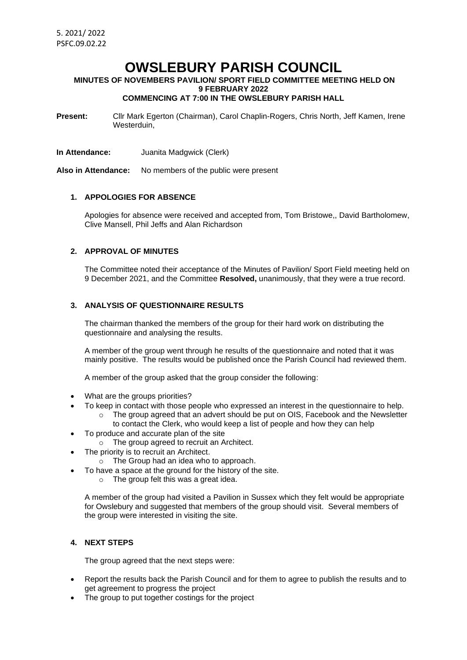# **OWSLEBURY PARISH COUNCIL**

# **MINUTES OF NOVEMBERS PAVILION/ SPORT FIELD COMMITTEE MEETING HELD ON**

**9 FEBRUARY 2022**

# **COMMENCING AT 7:00 IN THE OWSLEBURY PARISH HALL**

**Present:** Cllr Mark Egerton (Chairman), Carol Chaplin-Rogers, Chris North, Jeff Kamen, Irene Westerduin,

**In Attendance:** Juanita Madgwick (Clerk)

**Also in Attendance:** No members of the public were present

#### **1. APPOLOGIES FOR ABSENCE**

Apologies for absence were received and accepted from, Tom Bristowe,, David Bartholomew, Clive Mansell, Phil Jeffs and Alan Richardson

#### **2. APPROVAL OF MINUTES**

The Committee noted their acceptance of the Minutes of Pavilion/ Sport Field meeting held on 9 December 2021, and the Committee **Resolved,** unanimously, that they were a true record.

### **3. ANALYSIS OF QUESTIONNAIRE RESULTS**

The chairman thanked the members of the group for their hard work on distributing the questionnaire and analysing the results.

A member of the group went through he results of the questionnaire and noted that it was mainly positive. The results would be published once the Parish Council had reviewed them.

A member of the group asked that the group consider the following:

- What are the groups priorities?
- To keep in contact with those people who expressed an interest in the questionnaire to help.
	- $\circ$  The group agreed that an advert should be put on OIS, Facebook and the Newsletter to contact the Clerk, who would keep a list of people and how they can help
- To produce and accurate plan of the site
	- o The group agreed to recruit an Architect.
- The priority is to recruit an Architect.
	- $\circ$  The Group had an idea who to approach.
- To have a space at the ground for the history of the site.
	- o The group felt this was a great idea.

A member of the group had visited a Pavilion in Sussex which they felt would be appropriate for Owslebury and suggested that members of the group should visit. Several members of the group were interested in visiting the site.

# **4. NEXT STEPS**

The group agreed that the next steps were:

- Report the results back the Parish Council and for them to agree to publish the results and to get agreement to progress the project
- The group to put together costings for the project